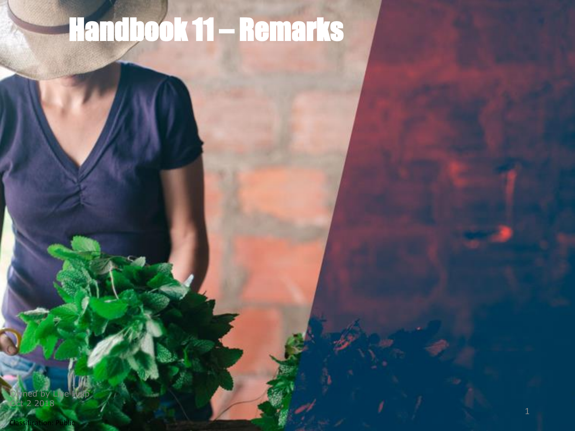## Handbook 11 – Remarks

Owned by Live Help Oct 2 2018

Classification: Public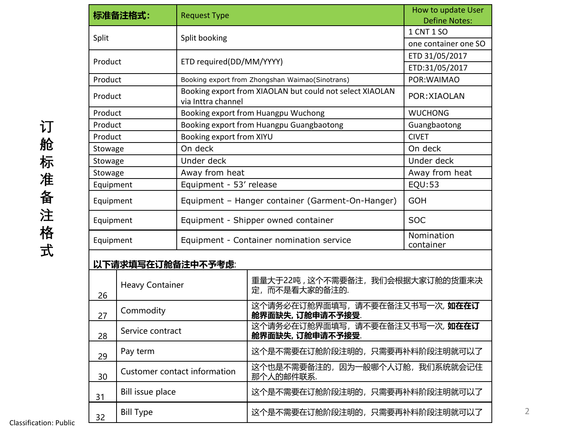| 标准备注格式:           |                              | <b>Request Type</b>                                                            |                                                    | How to update User<br><b>Define Notes:</b> |  |
|-------------------|------------------------------|--------------------------------------------------------------------------------|----------------------------------------------------|--------------------------------------------|--|
|                   |                              |                                                                                |                                                    | 1 CNT 1 SO                                 |  |
| Split             |                              | Split booking                                                                  |                                                    | one container one SO                       |  |
| Product           |                              | ETD required(DD/MM/YYYY)                                                       |                                                    | ETD 31/05/2017                             |  |
|                   |                              |                                                                                |                                                    | ETD:31/05/2017                             |  |
| Product           |                              | Booking export from Zhongshan Waimao(Sinotrans)                                |                                                    | POR: WAIMAO                                |  |
| Product           |                              | Booking export from XIAOLAN but could not select XIAOLAN<br>via Inttra channel |                                                    | POR: XIAOLAN                               |  |
| Product           |                              | Booking export from Huangpu Wuchong                                            |                                                    | <b>WUCHONG</b>                             |  |
| Product           |                              | Booking export from Huangpu Guangbaotong                                       |                                                    | Guangbaotong                               |  |
| Product           |                              | Booking export from XIYU                                                       |                                                    | <b>CIVET</b>                               |  |
| Stowage           |                              | On deck                                                                        |                                                    | On deck                                    |  |
| Stowage           |                              | Under deck                                                                     |                                                    | Under deck                                 |  |
| Stowage           |                              | Away from heat                                                                 |                                                    | Away from heat                             |  |
| Equipment         |                              | Equipment - 53' release                                                        |                                                    | EQU:53                                     |  |
| Equipment         |                              | Equipment - Hanger container (Garment-On-Hanger)                               |                                                    | <b>GOH</b>                                 |  |
| Equipment         |                              | Equipment - Shipper owned container                                            |                                                    | <b>SOC</b>                                 |  |
| Equipment         |                              | Equipment - Container nomination service                                       |                                                    | Nomination<br>container                    |  |
| 以下请求填写在订舱备注中不予考虑: |                              |                                                                                |                                                    |                                            |  |
| 26                | <b>Heavy Container</b>       |                                                                                | 重量大于22吨,这个不需要备注,我们会根据大家订舱的货重来决<br>定,而不是看大家的备注的.    |                                            |  |
| 27                | Commodity                    |                                                                                | 这个请务必在订舱界面填写,请不要在备注又书写一次, 如在在订<br>舱界面缺失, 订舱申请不予接受. |                                            |  |
| 28                | Service contract             |                                                                                | 这个请务必在订舱界面填写,请不要在备注又书写一次,如在在订<br>舱界面缺失, 订舱申请不予接受.  |                                            |  |
| 29                | Pay term                     |                                                                                | 这个是不需要在订舱阶段注明的,只需要再补料阶段注明就可以了                      |                                            |  |
| 30                | Customer contact information |                                                                                | 这个也是不需要备注的,因为一般哪个人订舱,我们系统就会记住<br>那个人的邮件联系.         |                                            |  |
| 31                | Bill issue place             |                                                                                | 这个是不需要在订舱阶段注明的,只需要再补料阶段注明就可以了                      |                                            |  |
| 32                | <b>Bill Type</b>             |                                                                                | 这个是不需要在订舱阶段注明的,只需要再补料阶段注明就可以了                      |                                            |  |

Classification: Public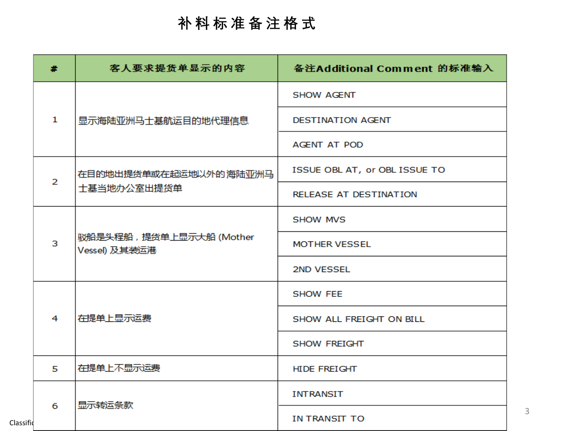## **补 料 标 准 备 注 格 式**

| #              | 客人要求提货单显示的内容                              | 备注Additional Comment 的标准输入    |
|----------------|-------------------------------------------|-------------------------------|
|                | 显示海陆亚洲马士基航运目的地代理信息                        | <b>SHOW AGENT</b>             |
| 1              |                                           | DESTINATION AGENT             |
|                |                                           | <b>AGENT AT POD</b>           |
| $\overline{2}$ | 在目的地出提货单或在起运地以外的海陆亚洲马                     | ISSUE OBL AT, or OBL ISSUE TO |
|                | 士基当地办公室出提货单                               | RELEASE AT DESTINATION        |
|                | 驳船是头程船, 提货单上显示大船 (Mother<br>Vessel) 及其装运港 | <b>SHOW MVS</b>               |
| 3              |                                           | <b>MOTHER VESSEL</b>          |
|                |                                           | 2ND VESSEL                    |
|                | 在提单上显示运费                                  | <b>SHOW FEE</b>               |
| 4              |                                           | SHOW ALL FREIGHT ON BILL      |
|                |                                           | <b>SHOW FREIGHT</b>           |
| 5              | 在提单上不显示运费                                 | <b>HIDE FREIGHT</b>           |
|                |                                           | <b>INTRANSIT</b>              |
| 6<br>Classifid | 显示转运条款                                    | IN TRANSIT TO                 |

3